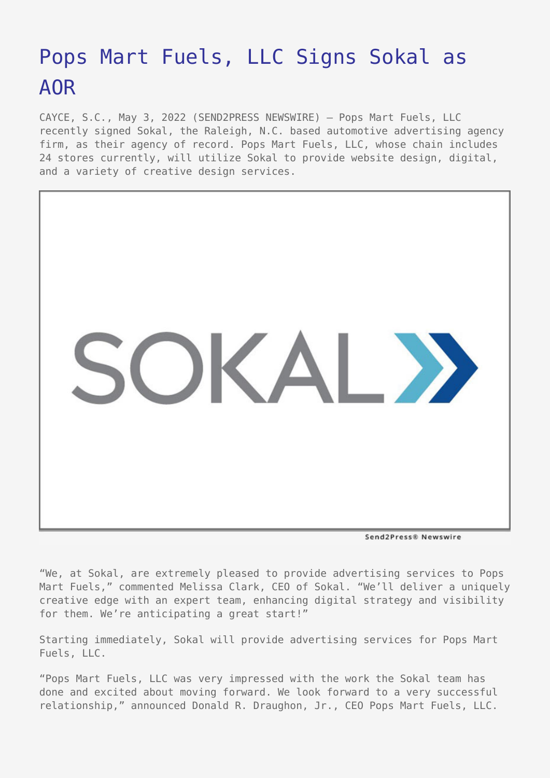## [Pops Mart Fuels, LLC Signs Sokal as](https://www.send2press.com/wire/pops-mart-fuels-llc-signs-sokal-as-aor/) [AOR](https://www.send2press.com/wire/pops-mart-fuels-llc-signs-sokal-as-aor/)

CAYCE, S.C., May 3, 2022 (SEND2PRESS NEWSWIRE) — Pops Mart Fuels, LLC recently signed Sokal, the Raleigh, N.C. based automotive advertising agency firm, as their agency of record. Pops Mart Fuels, LLC, whose chain includes 24 stores currently, will utilize Sokal to provide website design, digital, and a variety of creative design services.



Send2Press® Newswire

"We, at Sokal, are extremely pleased to provide advertising services to Pops Mart Fuels," commented Melissa Clark, CEO of Sokal. "We'll deliver a uniquely creative edge with an expert team, enhancing digital strategy and visibility for them. We're anticipating a great start!"

Starting immediately, Sokal will provide advertising services for Pops Mart Fuels, LLC.

"Pops Mart Fuels, LLC was very impressed with the work the Sokal team has done and excited about moving forward. We look forward to a very successful relationship," announced Donald R. Draughon, Jr., CEO Pops Mart Fuels, LLC.